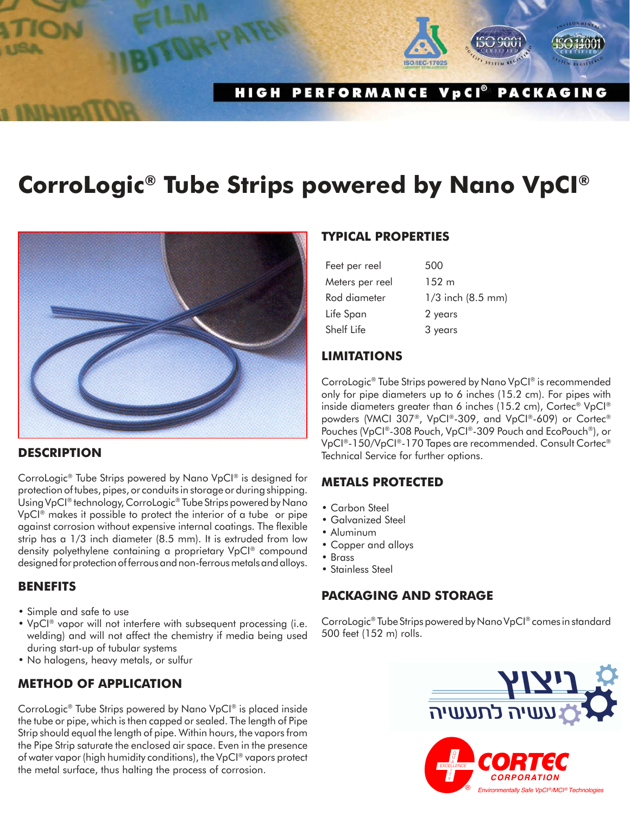#### HIGH PERFORMANCE VpCI® **PACKAGING**

# **CorroLogic® Tube Strips powered by Nano VpCI®**



#### **DESCRIPTION**

CorroLogic® Tube Strips powered by Nano VpCI® is designed for protection of tubes, pipes, or conduits in storage or during shipping. Using VpCI® technology, CorroLogic® Tube Strips powered by Nano VpCI® makes it possible to protect the interior of a tube or pipe against corrosion without expensive internal coatings. The flexible strip has a 1/3 inch diameter (8.5 mm). It is extruded from low density polyethylene containing a proprietary VpCI® compound designed for protection of ferrous and non-ferrous metals and alloys.

#### **BENEFITS**

- Simple and safe to use
- VpCI® vapor will not interfere with subsequent processing (i.e. welding) and will not affect the chemistry if media being used during start-up of tubular systems
- No halogens, heavy metals, or sulfur

## **METHOD OF APPLICATION**

CorroLogic® Tube Strips powered by Nano VpCI® is placed inside the tube or pipe, which is then capped or sealed. The length of Pipe Strip should equal the length of pipe. Within hours, the vapors from the Pipe Strip saturate the enclosed air space. Even in the presence of water vapor (high humidity conditions), the VpCI® vapors protect the metal surface, thus halting the process of corrosion.

### **TYPICAL PROPERTIES**

| Feet per reel   | 500                   |
|-----------------|-----------------------|
| Meters per reel | $152 \text{ m}$       |
| Rod diameter    | $1/3$ inch $(8.5$ mm) |
| Life Span       | 2 years               |
| Shelf Life      | 3 years               |

#### **LIMITATIONS**

CorroLogic® Tube Strips powered by Nano VpCI® is recommended only for pipe diameters up to 6 inches (15.2 cm). For pipes with inside diameters greater than 6 inches (15.2 cm), Cortec® VpCI® powders (VMCI 307®, VpCI®-309, and VpCI®-609) or Cortec® Pouches (VpCI®-308 Pouch, VpCI®-309 Pouch and EcoPouch®), or VpCI®-150/VpCI®-170 Tapes are recommended. Consult Cortec® Technical Service for further options.

### **METALS PROTECTED**

- Carbon Steel
- Galvanized Steel
- Aluminum
- Copper and alloys
- Brass
- Stainless Steel

### **PACKAGING AND STORAGE**

CorroLogic® Tube Strips powered by Nano VpCI® comes in standard 500 feet (152 m) rolls.